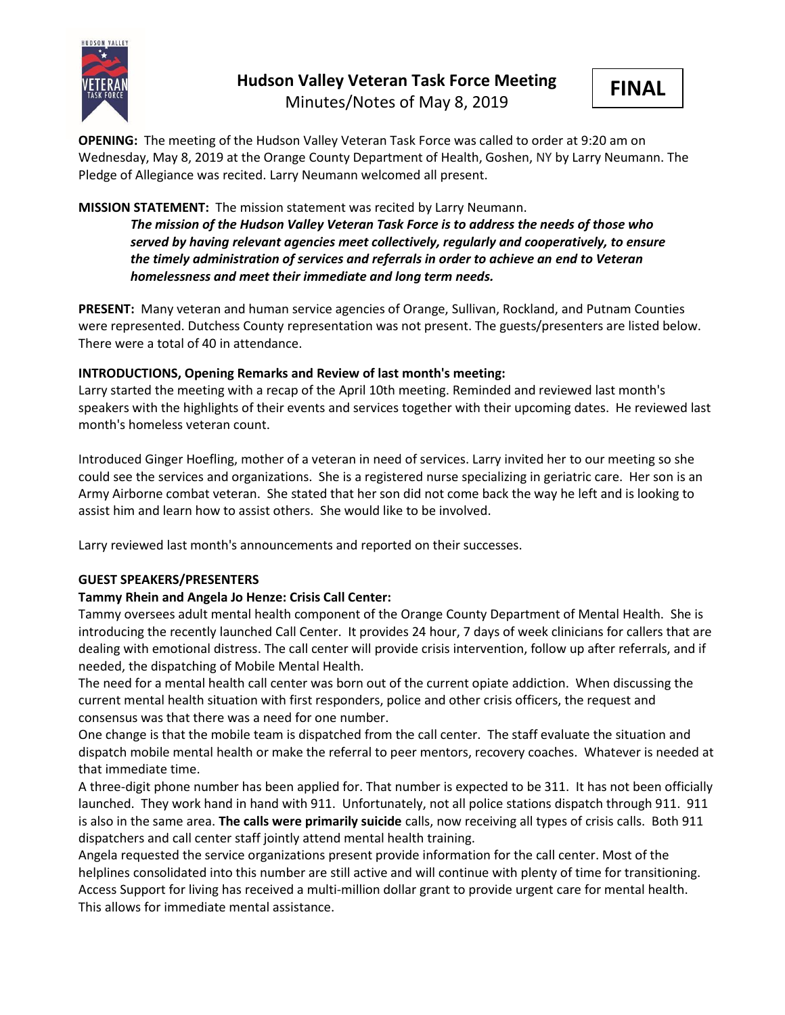

# **Hudson Valley Veteran Task Force Meeting**

Minutes/Notes of May 8, 2019



**OPENING:** The meeting of the Hudson Valley Veteran Task Force was called to order at 9:20 am on Wednesday, May 8, 2019 at the Orange County Department of Health, Goshen, NY by Larry Neumann. The Pledge of Allegiance was recited. Larry Neumann welcomed all present.

# **MISSION STATEMENT:** The mission statement was recited by Larry Neumann.

*The mission of the Hudson Valley Veteran Task Force is to address the needs of those who served by having relevant agencies meet collectively, regularly and cooperatively, to ensure the timely administration of services and referrals in order to achieve an end to Veteran homelessness and meet their immediate and long term needs.* 

**PRESENT:** Many veteran and human service agencies of Orange, Sullivan, Rockland, and Putnam Counties were represented. Dutchess County representation was not present. The guests/presenters are listed below. There were a total of 40 in attendance.

# **INTRODUCTIONS, Opening Remarks and Review of last month's meeting:**

Larry started the meeting with a recap of the April 10th meeting. Reminded and reviewed last month's speakers with the highlights of their events and services together with their upcoming dates. He reviewed last month's homeless veteran count.

Introduced Ginger Hoefling, mother of a veteran in need of services. Larry invited her to our meeting so she could see the services and organizations. She is a registered nurse specializing in geriatric care. Her son is an Army Airborne combat veteran. She stated that her son did not come back the way he left and is looking to assist him and learn how to assist others. She would like to be involved.

Larry reviewed last month's announcements and reported on their successes.

## **GUEST SPEAKERS/PRESENTERS**

# **Tammy Rhein and Angela Jo Henze: Crisis Call Center:**

Tammy oversees adult mental health component of the Orange County Department of Mental Health. She is introducing the recently launched Call Center. It provides 24 hour, 7 days of week clinicians for callers that are dealing with emotional distress. The call center will provide crisis intervention, follow up after referrals, and if needed, the dispatching of Mobile Mental Health.

The need for a mental health call center was born out of the current opiate addiction. When discussing the current mental health situation with first responders, police and other crisis officers, the request and consensus was that there was a need for one number.

One change is that the mobile team is dispatched from the call center. The staff evaluate the situation and dispatch mobile mental health or make the referral to peer mentors, recovery coaches. Whatever is needed at that immediate time.

A three-digit phone number has been applied for. That number is expected to be 311. It has not been officially launched. They work hand in hand with 911. Unfortunately, not all police stations dispatch through 911. 911 is also in the same area. **The calls were primarily suicide** calls, now receiving all types of crisis calls. Both 911 dispatchers and call center staff jointly attend mental health training.

Angela requested the service organizations present provide information for the call center. Most of the helplines consolidated into this number are still active and will continue with plenty of time for transitioning. Access Support for living has received a multi-million dollar grant to provide urgent care for mental health. This allows for immediate mental assistance.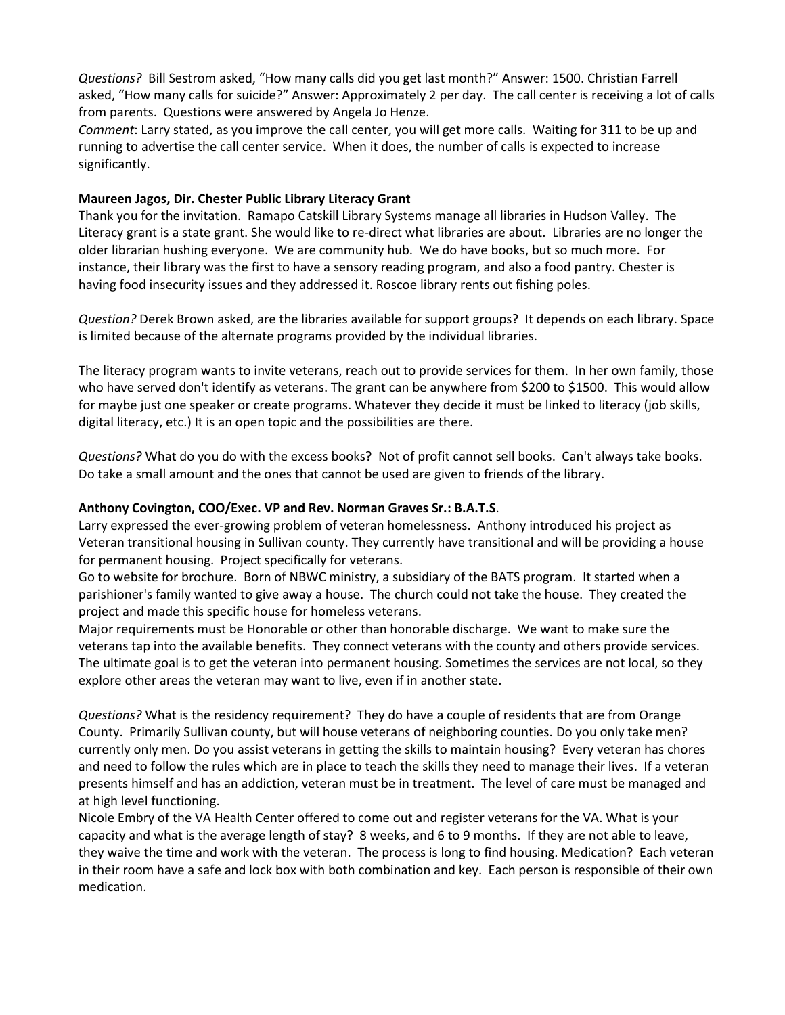*Questions?* Bill Sestrom asked, "How many calls did you get last month?" Answer: 1500. Christian Farrell asked, "How many calls for suicide?" Answer: Approximately 2 per day. The call center is receiving a lot of calls from parents. Questions were answered by Angela Jo Henze.

*Comment*: Larry stated, as you improve the call center, you will get more calls. Waiting for 311 to be up and running to advertise the call center service. When it does, the number of calls is expected to increase significantly.

#### **Maureen Jagos, Dir. Chester Public Library Literacy Grant**

Thank you for the invitation. Ramapo Catskill Library Systems manage all libraries in Hudson Valley. The Literacy grant is a state grant. She would like to re-direct what libraries are about. Libraries are no longer the older librarian hushing everyone. We are community hub. We do have books, but so much more. For instance, their library was the first to have a sensory reading program, and also a food pantry. Chester is having food insecurity issues and they addressed it. Roscoe library rents out fishing poles.

*Question?* Derek Brown asked, are the libraries available for support groups? It depends on each library. Space is limited because of the alternate programs provided by the individual libraries.

The literacy program wants to invite veterans, reach out to provide services for them. In her own family, those who have served don't identify as veterans. The grant can be anywhere from \$200 to \$1500. This would allow for maybe just one speaker or create programs. Whatever they decide it must be linked to literacy (job skills, digital literacy, etc.) It is an open topic and the possibilities are there.

*Questions?* What do you do with the excess books? Not of profit cannot sell books. Can't always take books. Do take a small amount and the ones that cannot be used are given to friends of the library.

#### **Anthony Covington, COO/Exec. VP and Rev. Norman Graves Sr.: B.A.T.S**.

Larry expressed the ever-growing problem of veteran homelessness. Anthony introduced his project as Veteran transitional housing in Sullivan county. They currently have transitional and will be providing a house for permanent housing. Project specifically for veterans.

Go to website for brochure. Born of NBWC ministry, a subsidiary of the BATS program. It started when a parishioner's family wanted to give away a house. The church could not take the house. They created the project and made this specific house for homeless veterans.

Major requirements must be Honorable or other than honorable discharge. We want to make sure the veterans tap into the available benefits. They connect veterans with the county and others provide services. The ultimate goal is to get the veteran into permanent housing. Sometimes the services are not local, so they explore other areas the veteran may want to live, even if in another state.

*Questions?* What is the residency requirement? They do have a couple of residents that are from Orange County. Primarily Sullivan county, but will house veterans of neighboring counties. Do you only take men? currently only men. Do you assist veterans in getting the skills to maintain housing? Every veteran has chores and need to follow the rules which are in place to teach the skills they need to manage their lives. If a veteran presents himself and has an addiction, veteran must be in treatment. The level of care must be managed and at high level functioning.

Nicole Embry of the VA Health Center offered to come out and register veterans for the VA. What is your capacity and what is the average length of stay? 8 weeks, and 6 to 9 months. If they are not able to leave, they waive the time and work with the veteran. The process is long to find housing. Medication? Each veteran in their room have a safe and lock box with both combination and key. Each person is responsible of their own medication.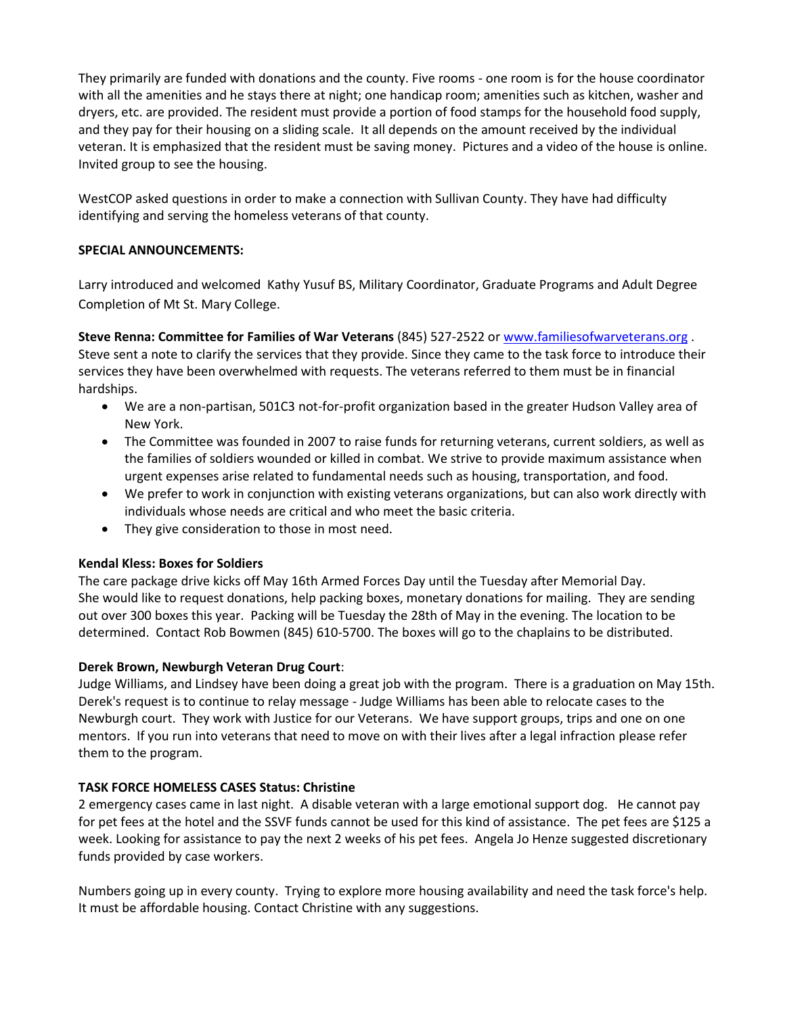They primarily are funded with donations and the county. Five rooms - one room is for the house coordinator with all the amenities and he stays there at night; one handicap room; amenities such as kitchen, washer and dryers, etc. are provided. The resident must provide a portion of food stamps for the household food supply, and they pay for their housing on a sliding scale. It all depends on the amount received by the individual veteran. It is emphasized that the resident must be saving money. Pictures and a video of the house is online. Invited group to see the housing.

WestCOP asked questions in order to make a connection with Sullivan County. They have had difficulty identifying and serving the homeless veterans of that county.

## **SPECIAL ANNOUNCEMENTS:**

Larry introduced and welcomed Kathy Yusuf BS, Military Coordinator, Graduate Programs and Adult Degree Completion of Mt St. Mary College.

**Steve Renna: Committee for Families of War Veterans** (845) 527-2522 or [www.familiesofwarveterans.org](http://www.familiesofwarveterans.org/) . Steve sent a note to clarify the services that they provide. Since they came to the task force to introduce their services they have been overwhelmed with requests. The veterans referred to them must be in financial hardships.

- We are a non-partisan, 501C3 not-for-profit organization based in the greater Hudson Valley area of New York.
- The Committee was founded in 2007 to raise funds for returning veterans, current soldiers, as well as the families of soldiers wounded or killed in combat. We strive to provide maximum assistance when urgent expenses arise related to fundamental needs such as housing, transportation, and food.
- We prefer to work in conjunction with existing veterans organizations, but can also work directly with individuals whose needs are critical and who meet the basic criteria.
- They give consideration to those in most need.

## **Kendal Kless: Boxes for Soldiers**

The care package drive kicks off May 16th Armed Forces Day until the Tuesday after Memorial Day. She would like to request donations, help packing boxes, monetary donations for mailing. They are sending out over 300 boxes this year. Packing will be Tuesday the 28th of May in the evening. The location to be determined. Contact Rob Bowmen (845) 610-5700. The boxes will go to the chaplains to be distributed.

## **Derek Brown, Newburgh Veteran Drug Court**:

Judge Williams, and Lindsey have been doing a great job with the program. There is a graduation on May 15th. Derek's request is to continue to relay message - Judge Williams has been able to relocate cases to the Newburgh court. They work with Justice for our Veterans. We have support groups, trips and one on one mentors. If you run into veterans that need to move on with their lives after a legal infraction please refer them to the program.

#### **TASK FORCE HOMELESS CASES Status: Christine**

2 emergency cases came in last night. A disable veteran with a large emotional support dog. He cannot pay for pet fees at the hotel and the SSVF funds cannot be used for this kind of assistance. The pet fees are \$125 a week. Looking for assistance to pay the next 2 weeks of his pet fees. Angela Jo Henze suggested discretionary funds provided by case workers.

Numbers going up in every county. Trying to explore more housing availability and need the task force's help. It must be affordable housing. Contact Christine with any suggestions.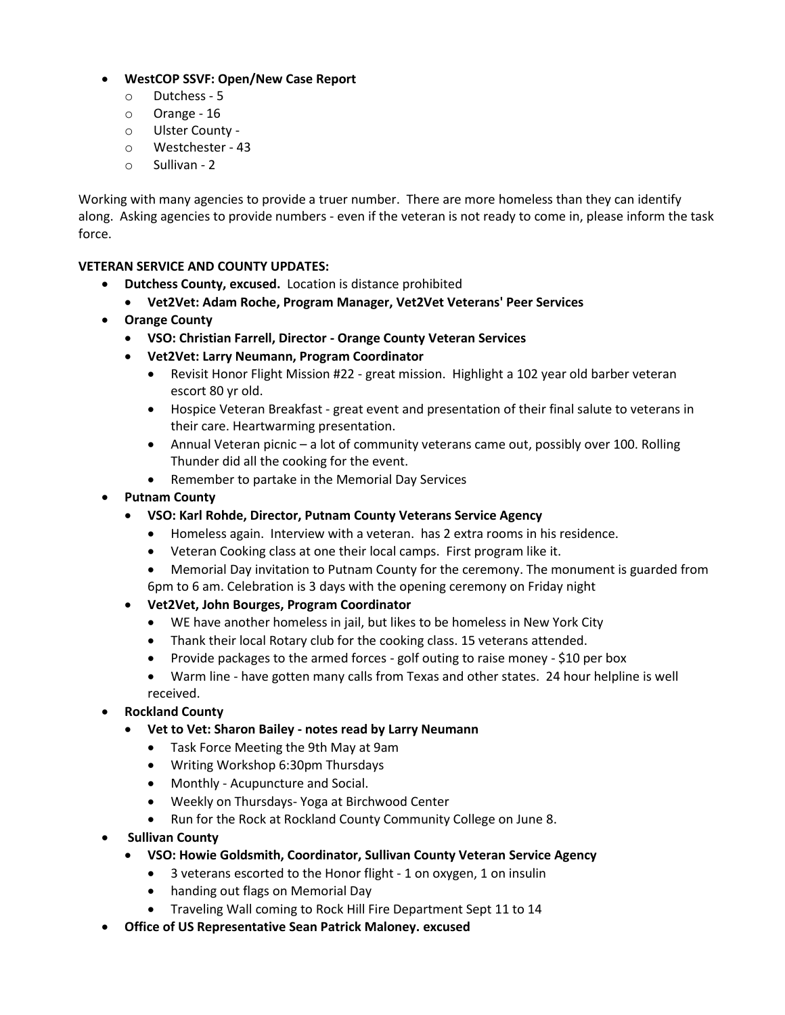# • **WestCOP SSVF: Open/New Case Report**

- o Dutchess 5
- o Orange 16
- o Ulster County -
- o Westchester 43
- o Sullivan 2

Working with many agencies to provide a truer number. There are more homeless than they can identify along. Asking agencies to provide numbers - even if the veteran is not ready to come in, please inform the task force.

# **VETERAN SERVICE AND COUNTY UPDATES:**

- **Dutchess County, excused.** Location is distance prohibited
	- **Vet2Vet: Adam Roche, Program Manager, Vet2Vet Veterans' Peer Services**
- **Orange County**
	- **VSO: Christian Farrell, Director - Orange County Veteran Services**
	- **Vet2Vet: Larry Neumann, Program Coordinator**
		- Revisit Honor Flight Mission #22 great mission. Highlight a 102 year old barber veteran escort 80 yr old.
		- Hospice Veteran Breakfast great event and presentation of their final salute to veterans in their care. Heartwarming presentation.
		- Annual Veteran picnic a lot of community veterans came out, possibly over 100. Rolling Thunder did all the cooking for the event.
		- Remember to partake in the Memorial Day Services
- **Putnam County**
	- **VSO: Karl Rohde, Director, Putnam County Veterans Service Agency**
		- Homeless again. Interview with a veteran. has 2 extra rooms in his residence.
		- Veteran Cooking class at one their local camps. First program like it.
		- Memorial Day invitation to Putnam County for the ceremony. The monument is guarded from 6pm to 6 am. Celebration is 3 days with the opening ceremony on Friday night
	- **Vet2Vet, John Bourges, Program Coordinator**
		- WE have another homeless in jail, but likes to be homeless in New York City
		- Thank their local Rotary club for the cooking class. 15 veterans attended.
		- Provide packages to the armed forces golf outing to raise money \$10 per box
		- Warm line have gotten many calls from Texas and other states. 24 hour helpline is well received.
- **Rockland County**
	- **Vet to Vet: Sharon Bailey - notes read by Larry Neumann**
		- Task Force Meeting the 9th May at 9am
		- Writing Workshop 6:30pm Thursdays
		- Monthly Acupuncture and Social.
		- Weekly on Thursdays- Yoga at Birchwood Center
		- Run for the Rock at Rockland County Community College on June 8.
- **Sullivan County**
	- **VSO: Howie Goldsmith, Coordinator, Sullivan County Veteran Service Agency**
		- 3 veterans escorted to the Honor flight 1 on oxygen, 1 on insulin
		- handing out flags on Memorial Day
		- Traveling Wall coming to Rock Hill Fire Department Sept 11 to 14
- **Office of US Representative Sean Patrick Maloney. excused**